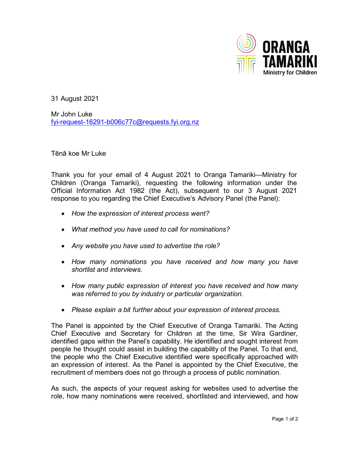

31 August 2021

Mr John Luke [fyi-request-16291-b006c77c@requests.fyi.org.nz](mailto:fyi-request-16291-b006c77c@requests.fyi.org.nz)

Tēnā koe Mr Luke

Thank you for your email of 4 August 2021 to Oranga Tamariki—Ministry for Children (Oranga Tamariki), requesting the following information under the Official Information Act 1982 (the Act), subsequent to our 3 August 2021 response to you regarding the Chief Executive's Advisory Panel (the Panel):

- *How the expression of interest process went?*
- *What method you have used to call for nominations?*
- *Any website you have used to advertise the role?*
- *How many nominations you have received and how many you have shortlist and interviews.*
- *How many public expression of interest you have received and how many was referred to you by industry or particular organization.*
- *Please explain a bit further about your expression of interest process.*

The Panel is appointed by the Chief Executive of Oranga Tamariki. The Acting Chief Executive and Secretary for Children at the time, Sir Wira Gardiner, identified gaps within the Panel's capability. He identified and sought interest from people he thought could assist in building the capability of the Panel. To that end, the people who the Chief Executive identified were specifically approached with an expression of interest. As the Panel is appointed by the Chief Executive, the recruitment of members does not go through a process of public nomination.

As such, the aspects of your request asking for websites used to advertise the role, how many nominations were received, shortlisted and interviewed, and how